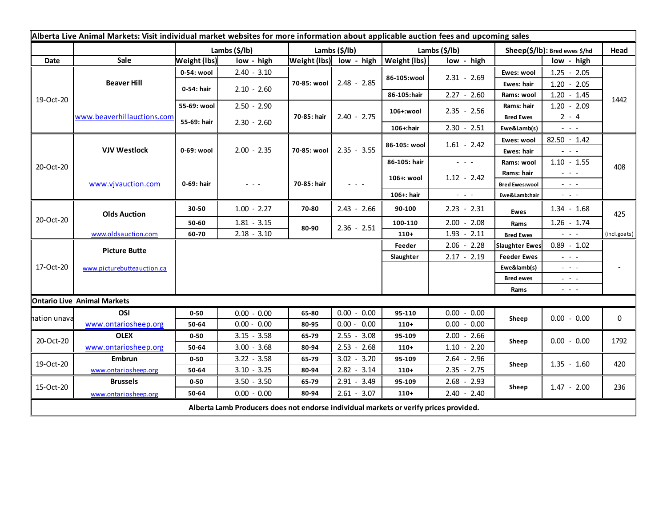| Alberta Live Animal Markets: Visit individual market websites for more information about applicable auction fees and upcoming sales |                                           |                     |               |               |                         |                           |                                                           |                               |                                                                                                                                                                                                                                                                                                                                                                                                                                                |              |
|-------------------------------------------------------------------------------------------------------------------------------------|-------------------------------------------|---------------------|---------------|---------------|-------------------------|---------------------------|-----------------------------------------------------------|-------------------------------|------------------------------------------------------------------------------------------------------------------------------------------------------------------------------------------------------------------------------------------------------------------------------------------------------------------------------------------------------------------------------------------------------------------------------------------------|--------------|
|                                                                                                                                     |                                           |                     | Lambs (\$/lb) | Lambs (\$/lb) |                         | Lambs $(\frac{2}{3})$ lb) |                                                           | Sheep(\$/lb): Bred ewes \$/hd |                                                                                                                                                                                                                                                                                                                                                                                                                                                | Head         |
| Date                                                                                                                                | Sale                                      | <b>Weight (lbs)</b> | low - high    |               | Weight (lbs) low - high | <b>Weight (lbs)</b>       | low - high                                                |                               | low - high                                                                                                                                                                                                                                                                                                                                                                                                                                     |              |
| 19-Oct-20                                                                                                                           | <b>Beaver Hill</b>                        | 0-54: wool          | $2.40 - 3.10$ | 70-85: wool   | $2.48 - 2.85$           | 86-105:wool               | $2.31 - 2.69$                                             | Ewes: wool                    | $1.25 - 2.05$                                                                                                                                                                                                                                                                                                                                                                                                                                  |              |
|                                                                                                                                     |                                           | 0-54: hair          | $2.10 - 2.60$ |               |                         |                           |                                                           | Ewes: hair                    | $1.20 - 2.05$                                                                                                                                                                                                                                                                                                                                                                                                                                  |              |
|                                                                                                                                     |                                           |                     |               |               |                         | 86-105:hair               | $2.27 - 2.60$                                             | Rams: wool                    | $1.20 - 1.45$                                                                                                                                                                                                                                                                                                                                                                                                                                  | 1442         |
|                                                                                                                                     | www.beaverhillauctions.com                | 55-69: wool         | $2.50 - 2.90$ | 70-85: hair   | $2.40 - 2.75$           | 106+:wool                 | $2.35 - 2.56$                                             | Rams: hair                    | $1.20 - 2.09$                                                                                                                                                                                                                                                                                                                                                                                                                                  |              |
|                                                                                                                                     |                                           | 55-69: hair         | $2.30 - 2.60$ |               |                         |                           |                                                           | <b>Bred Ewes</b>              | $2 - 4$                                                                                                                                                                                                                                                                                                                                                                                                                                        |              |
|                                                                                                                                     |                                           |                     |               |               |                         | 106+:hair                 | $2.30 - 2.51$                                             | Ewe&Lamb(s)                   | $\frac{1}{2} \left( \frac{1}{2} \right) \frac{1}{2} \left( \frac{1}{2} \right) \frac{1}{2} \left( \frac{1}{2} \right)$                                                                                                                                                                                                                                                                                                                         |              |
| 20-Oct-20                                                                                                                           | <b>VJV Westlock</b><br>www.vjvauction.com | 0-69: wool          | $2.00 - 2.35$ | 70-85: wool   | $2.35 - 3.55$           | 86-105: wool              | $1.61 - 2.42$                                             | Ewes: wool                    | $82.50 - 1.42$                                                                                                                                                                                                                                                                                                                                                                                                                                 |              |
|                                                                                                                                     |                                           |                     |               |               |                         |                           |                                                           | Ewes: hair                    | $  -$                                                                                                                                                                                                                                                                                                                                                                                                                                          |              |
|                                                                                                                                     |                                           |                     |               |               |                         | 86-105: hair              | $\omega_{\rm{c}}$ , $\omega_{\rm{c}}$ , $\omega_{\rm{c}}$ | Rams: wool                    | $1.10 - 1.55$                                                                                                                                                                                                                                                                                                                                                                                                                                  | 408          |
|                                                                                                                                     |                                           | 0-69: hair          | $  -$         | 70-85: hair   | $  -$                   | 106+: wool                | $1.12 - 2.42$                                             | Rams: hair                    | $  -$                                                                                                                                                                                                                                                                                                                                                                                                                                          |              |
|                                                                                                                                     |                                           |                     |               |               |                         |                           |                                                           | <b>Bred Ewes:wool</b>         | $  -$                                                                                                                                                                                                                                                                                                                                                                                                                                          |              |
|                                                                                                                                     |                                           |                     |               |               |                         | 106+: hair                | $ -$                                                      | Ewe&Lamb:hair                 | $\frac{1}{2} \left( \frac{1}{2} \right) \left( \frac{1}{2} \right) \left( \frac{1}{2} \right) \left( \frac{1}{2} \right)$                                                                                                                                                                                                                                                                                                                      |              |
| 20-Oct-20                                                                                                                           | <b>Olds Auction</b>                       | 30-50               | $1.00 - 2.27$ | 70-80         | $2.43 - 2.66$           | 90-100                    | $2.23 - 2.31$                                             | Ewes                          | $1.34 - 1.68$                                                                                                                                                                                                                                                                                                                                                                                                                                  | 425          |
|                                                                                                                                     |                                           | 50-60               | $1.81 - 3.15$ | 80-90         | $2.36 - 2.51$           | 100-110                   | $2.00 - 2.08$                                             | Rams                          | $1.26 - 1.74$                                                                                                                                                                                                                                                                                                                                                                                                                                  |              |
|                                                                                                                                     | www.oldsauction.com                       | 60-70               | $2.18 - 3.10$ |               |                         | $110+$                    | $1.93 - 2.11$                                             | <b>Bred Ewes</b>              | $\frac{1}{2} \left( \frac{1}{2} \right) \left( \frac{1}{2} \right) \left( \frac{1}{2} \right)$                                                                                                                                                                                                                                                                                                                                                 | (incl.goats) |
| 17-Oct-20                                                                                                                           | <b>Picture Butte</b>                      |                     |               |               |                         | Feeder                    | $2.06 - 2.28$                                             | <b>Slaughter Ewes</b>         | $0.89 - 1.02$                                                                                                                                                                                                                                                                                                                                                                                                                                  |              |
|                                                                                                                                     | www.picturebutteauction.ca                |                     |               |               |                         | Slaughter                 | $2.17 - 2.19$                                             | <b>Feeder Ewes</b>            | $\frac{1}{2} \left( \frac{1}{2} \right) + \frac{1}{2} \left( \frac{1}{2} \right) + \frac{1}{2} \left( \frac{1}{2} \right) + \frac{1}{2} \left( \frac{1}{2} \right) + \frac{1}{2} \left( \frac{1}{2} \right) + \frac{1}{2} \left( \frac{1}{2} \right) + \frac{1}{2} \left( \frac{1}{2} \right) + \frac{1}{2} \left( \frac{1}{2} \right) + \frac{1}{2} \left( \frac{1}{2} \right) + \frac{1}{2} \left( \frac{1}{2} \right) + \frac{1}{2} \left($ |              |
|                                                                                                                                     |                                           |                     |               |               |                         |                           | Ewe&lamb(s)                                               |                               | 20 A G                                                                                                                                                                                                                                                                                                                                                                                                                                         |              |
|                                                                                                                                     |                                           |                     |               |               |                         |                           |                                                           | <b>Bred ewes</b>              | $\sim$ $\sim$ $\sim$                                                                                                                                                                                                                                                                                                                                                                                                                           |              |
|                                                                                                                                     |                                           |                     |               |               |                         |                           |                                                           | Rams                          | $\frac{1}{2} \left( \frac{1}{2} \right) \frac{1}{2} \left( \frac{1}{2} \right) \frac{1}{2} \left( \frac{1}{2} \right)$                                                                                                                                                                                                                                                                                                                         |              |
| <b>Ontario Live Animal Markets</b>                                                                                                  |                                           |                     |               |               |                         |                           |                                                           |                               |                                                                                                                                                                                                                                                                                                                                                                                                                                                |              |
| าation unava                                                                                                                        | OSI                                       | $0 - 50$            | $0.00 - 0.00$ | 65-80         | $0.00 - 0.00$           | 95-110                    | $0.00 - 0.00$                                             | Sheep                         | $0.00 - 0.00$                                                                                                                                                                                                                                                                                                                                                                                                                                  | 0            |
|                                                                                                                                     | www.ontariosheep.org                      | 50-64               | $0.00 - 0.00$ | 80-95         | $0.00 - 0.00$           | $110+$                    | $0.00 - 0.00$                                             |                               |                                                                                                                                                                                                                                                                                                                                                                                                                                                |              |
| 20-Oct-20                                                                                                                           | <b>OLEX</b>                               | $0 - 50$            | $3.15 - 3.58$ | 65-79         | $2.55 - 3.08$           | 95-109                    | $2.00 - 2.66$                                             | Sheep                         | $0.00 - 0.00$                                                                                                                                                                                                                                                                                                                                                                                                                                  | 1792         |
|                                                                                                                                     | www.ontariosheep.org                      | 50-64               | $3.00 - 3.68$ | 80-94         | $2.53 - 2.68$           | $110+$                    | $1.10 - 2.20$                                             |                               |                                                                                                                                                                                                                                                                                                                                                                                                                                                |              |
| 19-Oct-20                                                                                                                           | <b>Embrun</b>                             | $0 - 50$            | $3.22 - 3.58$ | 65-79         | $3.02 - 3.20$           | 95-109                    | $2.64 - 2.96$                                             | Sheep                         | $1.35 - 1.60$                                                                                                                                                                                                                                                                                                                                                                                                                                  | 420          |
| 15-Oct-20                                                                                                                           | www.ontariosheep.org                      | 50-64               | $3.10 - 3.25$ | 80-94         | $2.82 - 3.14$           | $110+$                    | $2.35 - 2.75$                                             |                               |                                                                                                                                                                                                                                                                                                                                                                                                                                                |              |
|                                                                                                                                     | <b>Brussels</b>                           | $0 - 50$            | $3.50 - 3.50$ | 65-79         | $2.91 - 3.49$           | 95-109                    | $2.68 - 2.93$                                             | Sheep                         | $1.47 - 2.00$                                                                                                                                                                                                                                                                                                                                                                                                                                  | 236          |
|                                                                                                                                     | www.ontariosheep.org                      | 50-64               | $0.00 - 0.00$ | 80-94         | $2.61 - 3.07$           | $110+$                    | $2.40 - 2.40$                                             |                               |                                                                                                                                                                                                                                                                                                                                                                                                                                                |              |
| Alberta Lamb Producers does not endorse individual markets or verify prices provided.                                               |                                           |                     |               |               |                         |                           |                                                           |                               |                                                                                                                                                                                                                                                                                                                                                                                                                                                |              |